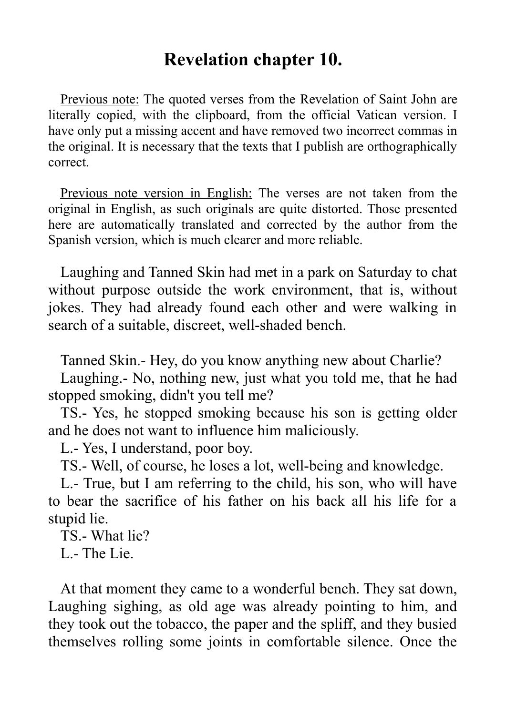# **Revelation chapter 10.**

Previous note: The quoted verses from the Revelation of Saint John are literally copied, with the clipboard, from the official Vatican version. I have only put a missing accent and have removed two incorrect commas in the original. It is necessary that the texts that I publish are orthographically correct.

Previous note version in English: The verses are not taken from the original in English, as such originals are quite distorted. Those presented here are automatically translated and corrected by the author from the Spanish version, which is much clearer and more reliable.

Laughing and Tanned Skin had met in a park on Saturday to chat without purpose outside the work environment, that is, without jokes. They had already found each other and were walking in search of a suitable, discreet, well-shaded bench.

Tanned Skin.- Hey, do you know anything new about Charlie?

Laughing.- No, nothing new, just what you told me, that he had stopped smoking, didn't you tell me?

TS.- Yes, he stopped smoking because his son is getting older and he does not want to influence him maliciously.

L.- Yes, I understand, poor boy.

TS.- Well, of course, he loses a lot, well-being and knowledge.

L.- True, but I am referring to the child, his son, who will have to bear the sacrifice of his father on his back all his life for a stupid lie.

TS.- What lie?

L.- The Lie.

At that moment they came to a wonderful bench. They sat down, Laughing sighing, as old age was already pointing to him, and they took out the tobacco, the paper and the spliff, and they busied themselves rolling some joints in comfortable silence. Once the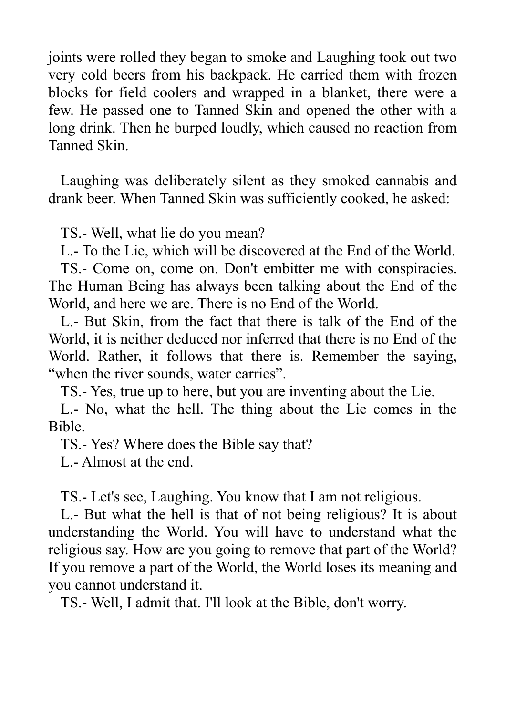joints were rolled they began to smoke and Laughing took out two very cold beers from his backpack. He carried them with frozen blocks for field coolers and wrapped in a blanket, there were a few. He passed one to Tanned Skin and opened the other with a long drink. Then he burped loudly, which caused no reaction from Tanned Skin.

Laughing was deliberately silent as they smoked cannabis and drank beer. When Tanned Skin was sufficiently cooked, he asked:

TS.- Well, what lie do you mean?

L.- To the Lie, which will be discovered at the End of the World.

TS.- Come on, come on. Don't embitter me with conspiracies. The Human Being has always been talking about the End of the World, and here we are. There is no End of the World.

L.- But Skin, from the fact that there is talk of the End of the World, it is neither deduced nor inferred that there is no End of the World. Rather, it follows that there is. Remember the saying, "when the river sounds, water carries".

TS.- Yes, true up to here, but you are inventing about the Lie.

L.- No, what the hell. The thing about the Lie comes in the Bible.

TS.- Yes? Where does the Bible say that?

L.- Almost at the end.

TS.- Let's see, Laughing. You know that I am not religious.

L.- But what the hell is that of not being religious? It is about understanding the World. You will have to understand what the religious say. How are you going to remove that part of the World? If you remove a part of the World, the World loses its meaning and you cannot understand it.

TS.- Well, I admit that. I'll look at the Bible, don't worry.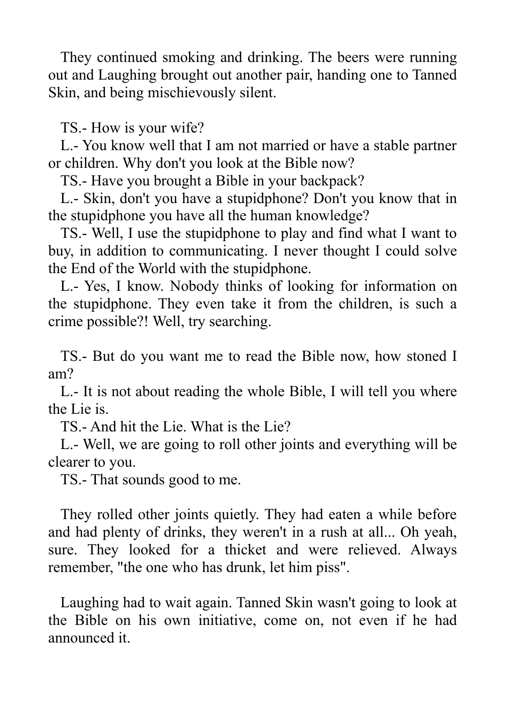They continued smoking and drinking. The beers were running out and Laughing brought out another pair, handing one to Tanned Skin, and being mischievously silent.

TS.- How is your wife?

L.- You know well that I am not married or have a stable partner or children. Why don't you look at the Bible now?

TS.- Have you brought a Bible in your backpack?

L.- Skin, don't you have a stupidphone? Don't you know that in the stupidphone you have all the human knowledge?

TS.- Well, I use the stupidphone to play and find what I want to buy, in addition to communicating. I never thought I could solve the End of the World with the stupidphone.

L.- Yes, I know. Nobody thinks of looking for information on the stupidphone. They even take it from the children, is such a crime possible?! Well, try searching.

TS.- But do you want me to read the Bible now, how stoned I am?

L.- It is not about reading the whole Bible, I will tell you where the Lie is.

TS.- And hit the Lie. What is the Lie?

L.- Well, we are going to roll other joints and everything will be clearer to you.

TS.- That sounds good to me.

They rolled other joints quietly. They had eaten a while before and had plenty of drinks, they weren't in a rush at all... Oh yeah, sure. They looked for a thicket and were relieved. Always remember, "the one who has drunk, let him piss".

Laughing had to wait again. Tanned Skin wasn't going to look at the Bible on his own initiative, come on, not even if he had announced it.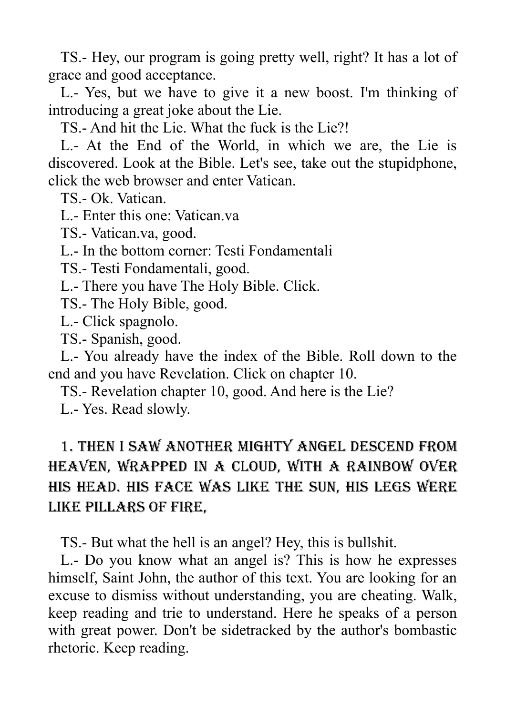TS.- Hey, our program is going pretty well, right? It has a lot of grace and good acceptance.

L.- Yes, but we have to give it a new boost. I'm thinking of introducing a great joke about the Lie.

TS.- And hit the Lie. What the fuck is the Lie?!

L.- At the End of the World, in which we are, the Lie is discovered. Look at the Bible. Let's see, take out the stupidphone, click the web browser and enter Vatican.

TS.- Ok. Vatican.

L.- Enter this one: Vatican.va

TS.- Vatican.va, good.

L.- In the bottom corner: Testi Fondamentali

TS.- Testi Fondamentali, good.

L.- There you have The Holy Bible. Click.

TS.- The Holy Bible, good.

L.- Click spagnolo.

TS.- Spanish, good.

L.- You already have the index of the Bible. Roll down to the end and you have Revelation. Click on chapter 10.

TS.- Revelation chapter 10, good. And here is the Lie?

L.- Yes. Read slowly.

## 1. Then I saw another mighty Angel descend from heaven, wrapped in a cloud, with a rainbow over his head. His face was like the sun, his legs were like pillars of fire,

TS.- But what the hell is an angel? Hey, this is bullshit.

L.- Do you know what an angel is? This is how he expresses himself, Saint John, the author of this text. You are looking for an excuse to dismiss without understanding, you are cheating. Walk, keep reading and trie to understand. Here he speaks of a person with great power. Don't be sidetracked by the author's bombastic rhetoric. Keep reading.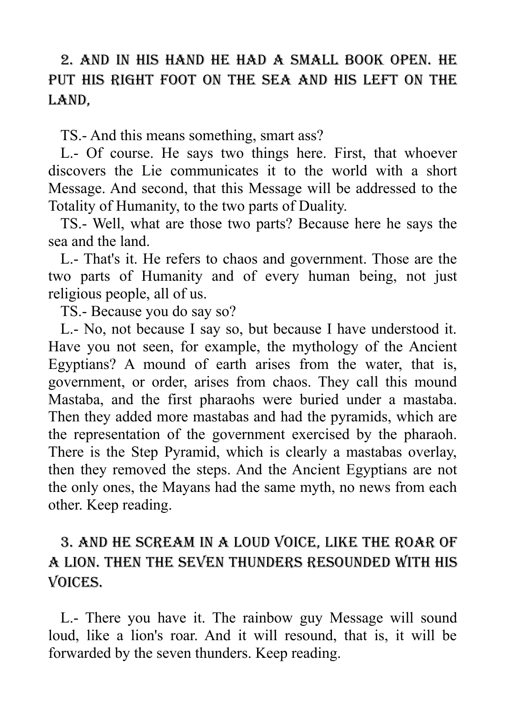## 2. and in his hand he had a small book open. He put his right foot on the sea and his left on the LAND,

TS.- And this means something, smart ass?

L.- Of course. He says two things here. First, that whoever discovers the Lie communicates it to the world with a short Message. And second, that this Message will be addressed to the Totality of Humanity, to the two parts of Duality.

TS.- Well, what are those two parts? Because here he says the sea and the land.

L.- That's it. He refers to chaos and government. Those are the two parts of Humanity and of every human being, not just religious people, all of us.

TS.- Because you do say so?

L.- No, not because I say so, but because I have understood it. Have you not seen, for example, the mythology of the Ancient Egyptians? A mound of earth arises from the water, that is, government, or order, arises from chaos. They call this mound Mastaba, and the first pharaohs were buried under a mastaba. Then they added more mastabas and had the pyramids, which are the representation of the government exercised by the pharaoh. There is the Step Pyramid, which is clearly a mastabas overlay, then they removed the steps. And the Ancient Egyptians are not the only ones, the Mayans had the same myth, no news from each other. Keep reading.

## 3. and he scream in a loud voice, like the roar of a lion. Then the seven thunders resounded with his voices.

L.- There you have it. The rainbow guy Message will sound loud, like a lion's roar. And it will resound, that is, it will be forwarded by the seven thunders. Keep reading.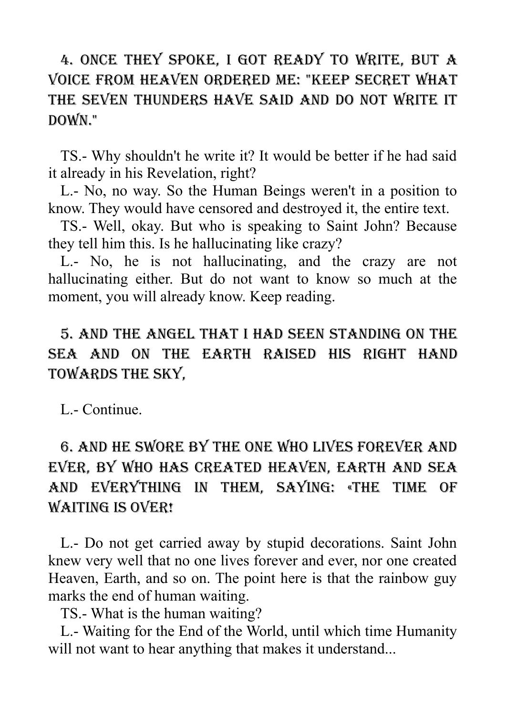## 4. Once they spoke, I got ready to write, but a voice from heaven ordered me: "Keep secret what the seven thunders have said and do not write it down."

TS.- Why shouldn't he write it? It would be better if he had said it already in his Revelation, right?

L.- No, no way. So the Human Beings weren't in a position to know. They would have censored and destroyed it, the entire text.

TS.- Well, okay. But who is speaking to Saint John? Because they tell him this. Is he hallucinating like crazy?

L.- No, he is not hallucinating, and the crazy are not hallucinating either. But do not want to know so much at the moment, you will already know. Keep reading.

## 5. And the Angel that I had seen standing on the sea and on the earth raised his right hand towards the sky,

L.- Continue.

# 6. and he swore by the one who lives forever and ever, by who has created heaven, earth and sea and everything in them, saying: «The time of WAITING IS OVER!

L.- Do not get carried away by stupid decorations. Saint John knew very well that no one lives forever and ever, nor one created Heaven, Earth, and so on. The point here is that the rainbow guy marks the end of human waiting.

TS.- What is the human waiting?

L.- Waiting for the End of the World, until which time Humanity will not want to hear anything that makes it understand...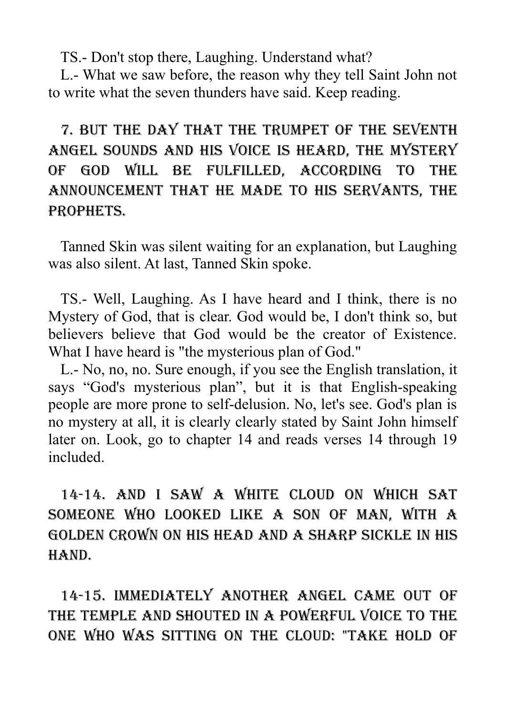TS.- Don't stop there, Laughing. Understand what?

L.- What we saw before, the reason why they tell Saint John not to write what the seven thunders have said. Keep reading.

# 7. But the day that the trumpet of the seventh Angel sounds and his voice is heard, the mystery of God will be fulfilled, according to the announcement that he made to his servants, the prophets.

Tanned Skin was silent waiting for an explanation, but Laughing was also silent. At last, Tanned Skin spoke.

TS.- Well, Laughing. As I have heard and I think, there is no Mystery of God, that is clear. God would be, I don't think so, but believers believe that God would be the creator of Existence. What I have heard is "the mysterious plan of God."

L.- No, no, no. Sure enough, if you see the English translation, it says "God's mysterious plan", but it is that English-speaking people are more prone to self-delusion. No, let's see. God's plan is no mystery at all, it is clearly clearly stated by Saint John himself later on. Look, go to chapter 14 and reads verses 14 through 19 included.

14-14. And I saw a white cloud on which Sat someone who looked like a Son of man, with a golden crown on his head and a sharp sickle in his hand.

14-15. Immediately another Angel came out of the Temple and shouted in a powerful voice to the one who was sitting on the cloud: "Take hold of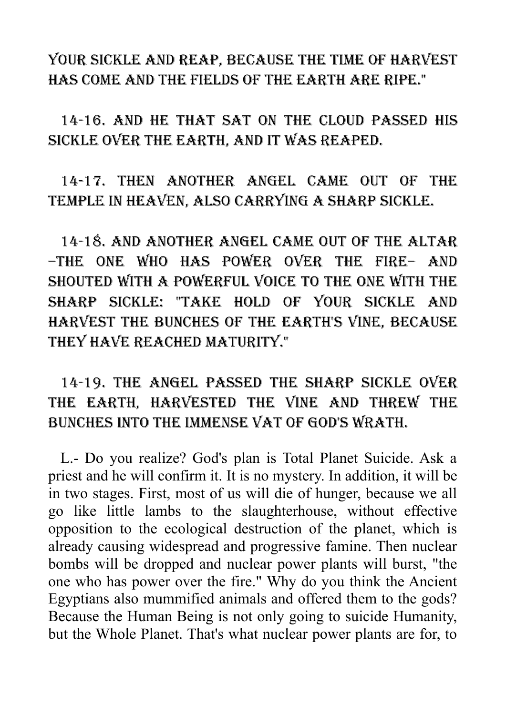your sickle and reap, because the time of harvest has come and the fields of the earth are ripe."

14-16. And he that sat on the cloud passed his sickle over the earth, and it was reaped.

14-17. Then another Angel came out of the Temple in heaven, also carrying a sharp sickle.

14-18. And another Angel came out of the altar –the one who has power over the fire– and shouted with a powerful voice to the one with the sharp sickle: "Take hold of your sickle and harvest the bunches of the earth's vine, because they have reached maturity."

#### 14-19. The Angel passed the sharp sickle over the earth, harvested the vine and threw the bunches into the immense vat of God's wrath.

L.- Do you realize? God's plan is Total Planet Suicide. Ask a priest and he will confirm it. It is no mystery. In addition, it will be in two stages. First, most of us will die of hunger, because we all go like little lambs to the slaughterhouse, without effective opposition to the ecological destruction of the planet, which is already causing widespread and progressive famine. Then nuclear bombs will be dropped and nuclear power plants will burst, "the one who has power over the fire." Why do you think the Ancient Egyptians also mummified animals and offered them to the gods? Because the Human Being is not only going to suicide Humanity, but the Whole Planet. That's what nuclear power plants are for, to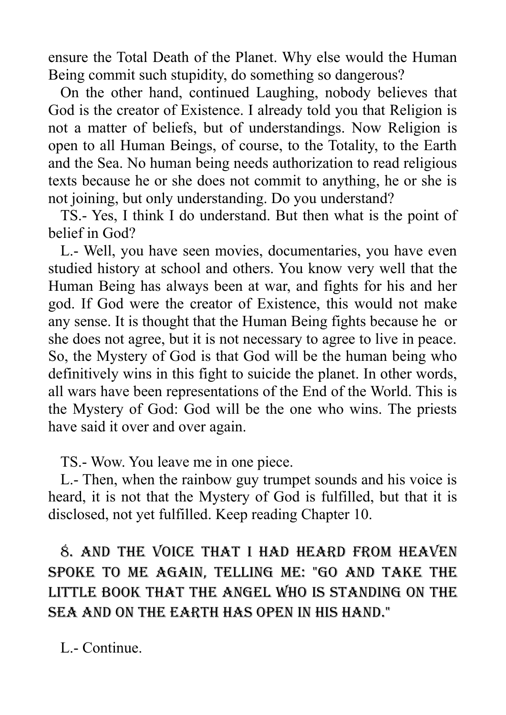ensure the Total Death of the Planet. Why else would the Human Being commit such stupidity, do something so dangerous?

On the other hand, continued Laughing, nobody believes that God is the creator of Existence. I already told you that Religion is not a matter of beliefs, but of understandings. Now Religion is open to all Human Beings, of course, to the Totality, to the Earth and the Sea. No human being needs authorization to read religious texts because he or she does not commit to anything, he or she is not joining, but only understanding. Do you understand?

TS.- Yes, I think I do understand. But then what is the point of belief in God?

L.- Well, you have seen movies, documentaries, you have even studied history at school and others. You know very well that the Human Being has always been at war, and fights for his and her god. If God were the creator of Existence, this would not make any sense. It is thought that the Human Being fights because he or she does not agree, but it is not necessary to agree to live in peace. So, the Mystery of God is that God will be the human being who definitively wins in this fight to suicide the planet. In other words, all wars have been representations of the End of the World. This is the Mystery of God: God will be the one who wins. The priests have said it over and over again.

TS.- Wow. You leave me in one piece.

L.- Then, when the rainbow guy trumpet sounds and his voice is heard, it is not that the Mystery of God is fulfilled, but that it is disclosed, not yet fulfilled. Keep reading Chapter 10.

8. And the voice that I had heard from heaven spoke to me again, telling me: "Go and take the little book that the Angel who is standing on the sea and on the earth has open in his hand."

L.- Continue.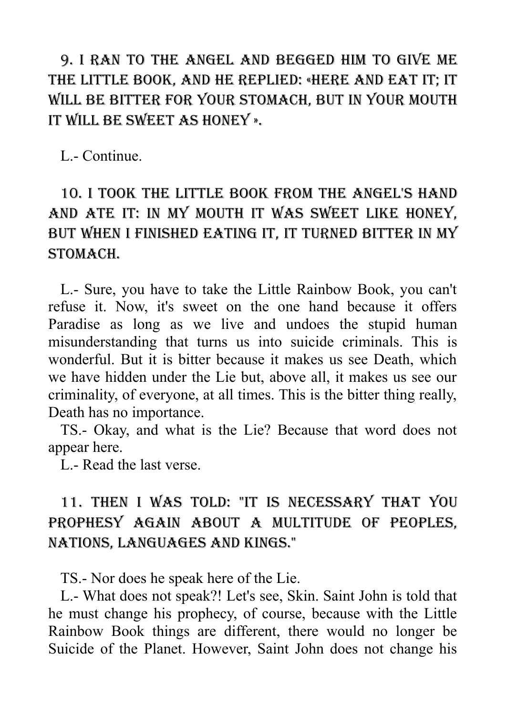9. I ran to the Angel and begged him to give me the little book, and he replied: «Here and eat it; It will be bitter for your stomach, but in your mouth it will be sweet as honey ».

L.- Continue.

## 10. I took the little book from the Angel's hand and ate it: in my mouth it was sweet like honey, but when I finished eating it, it turned bitter in my stomach.

L.- Sure, you have to take the Little Rainbow Book, you can't refuse it. Now, it's sweet on the one hand because it offers Paradise as long as we live and undoes the stupid human misunderstanding that turns us into suicide criminals. This is wonderful. But it is bitter because it makes us see Death, which we have hidden under the Lie but, above all, it makes us see our criminality, of everyone, at all times. This is the bitter thing really, Death has no importance.

TS.- Okay, and what is the Lie? Because that word does not appear here.

L.- Read the last verse.

## 11. Then I was told: "It is necessary that you prophesy again about a multitude of peoples, nations, languages and kings."

TS.- Nor does he speak here of the Lie.

L.- What does not speak?! Let's see, Skin. Saint John is told that he must change his prophecy, of course, because with the Little Rainbow Book things are different, there would no longer be Suicide of the Planet. However, Saint John does not change his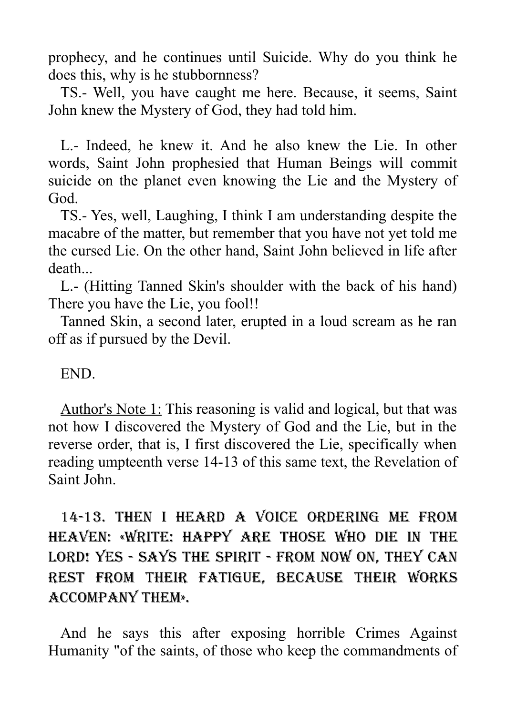prophecy, and he continues until Suicide. Why do you think he does this, why is he stubbornness?

TS.- Well, you have caught me here. Because, it seems, Saint John knew the Mystery of God, they had told him.

L.- Indeed, he knew it. And he also knew the Lie. In other words, Saint John prophesied that Human Beings will commit suicide on the planet even knowing the Lie and the Mystery of God.

TS.- Yes, well, Laughing, I think I am understanding despite the macabre of the matter, but remember that you have not yet told me the cursed Lie. On the other hand, Saint John believed in life after death...

L.- (Hitting Tanned Skin's shoulder with the back of his hand) There you have the Lie, you fool!!

Tanned Skin, a second later, erupted in a loud scream as he ran off as if pursued by the Devil.

#### END.

Author's Note 1: This reasoning is valid and logical, but that was not how I discovered the Mystery of God and the Lie, but in the reverse order, that is, I first discovered the Lie, specifically when reading umpteenth verse 14-13 of this same text, the Revelation of Saint John.

14-13. Then I heard a voice ordering me from heaven: «Write: Happy are those who die in the LORD! YES - SAYS THE SPIRIT - FROM NOW ON, THEY CAN rest from their fatigue, because their works accompany them».

And he says this after exposing horrible Crimes Against Humanity "of the saints, of those who keep the commandments of